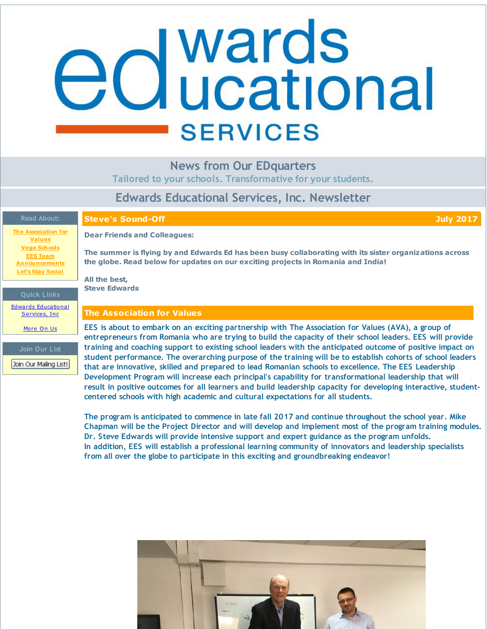# <span id="page-0-0"></span>**d** wards<br>**d** ucational **SERVICES**

# **News from Our EDquarters**

**Tailored to your schools. Transformative for your students.**

# **Edwards Educational Services, Inc. Newsletter**

| <b>Read About:</b>                                             | <b>Steve's Sound-Off</b><br><b>July 2017</b>                                                                                                                                                                                                                                                                  |
|----------------------------------------------------------------|---------------------------------------------------------------------------------------------------------------------------------------------------------------------------------------------------------------------------------------------------------------------------------------------------------------|
| <b>The Association for</b><br><b>Values</b>                    | <b>Dear Friends and Colleagues:</b>                                                                                                                                                                                                                                                                           |
| <b>Vega Schools</b><br><b>EES Team</b><br><b>Announcements</b> | The summer is flying by and Edwards Ed has been busy collaborating with its sister organizations across<br>the globe. Read below for updates on our exciting projects in Romania and India!                                                                                                                   |
| <b>Let's Stay Social</b>                                       | All the best,                                                                                                                                                                                                                                                                                                 |
| <b>Quick Links</b>                                             | <b>Steve Edwards</b>                                                                                                                                                                                                                                                                                          |
| <b>Edwards Educational</b><br>Services, Inc.                   | <b>The Association for Values</b>                                                                                                                                                                                                                                                                             |
| More On Us                                                     | EES is about to embark on an exciting partnership with The Association for Values (AVA), a group of<br>entrepreneurs from Romania who are trying to build the capacity of their school leaders. EES will provide                                                                                              |
| Join Our List                                                  | training and coaching support to existing school leaders with the anticipated outcome of positive impact on                                                                                                                                                                                                   |
| Join Our Mailing List!                                         | student performance. The overarching purpose of the training will be to establish cohorts of school leaders<br>that are innovative, skilled and prepared to lead Romanian schools to excellence. The EES Leadership                                                                                           |
|                                                                | Development Program will increase each principal's capability for transformational leadership that will<br>result in positive outcomes for all learners and build leadership capacity for developing interactive, student-<br>centered schools with high academic and cultural expectations for all students. |
|                                                                | The program is anticipated to commence in late fall 2017 and continue throughout the school year. Mike                                                                                                                                                                                                        |

**Chapman will be the Project Director and will develop and implement most of the program training modules. Dr. Steve Edwards will provide intensive support and expert guidance as the program unfolds. In addition, EES will establish a professional learning community of innovators and leadership specialists from all over the globe to participate in this exciting and groundbreaking endeavor!**

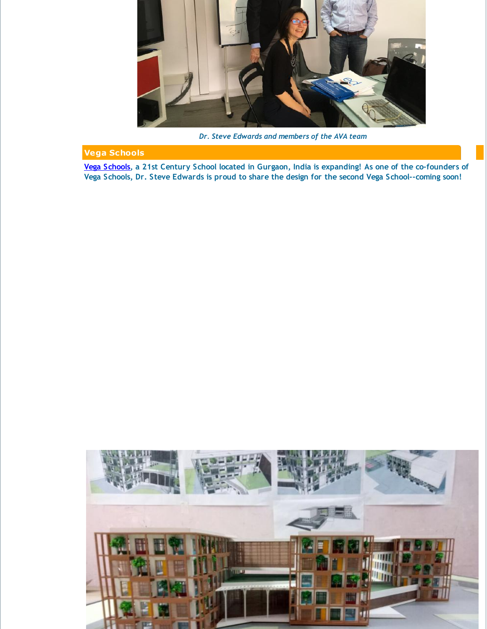

*Dr. Steve Edwards and members of the AVA team*

## **Vega Schools**

Vega [Schools](http://r20.rs6.net/tn.jsp?f=001DYxC3OYyn3xTj1hZUY4haHpR_83u4pSoNL06kZU8KTFAXZ7W3ZNNxPVyP8xo0LY96Dz3PkKzpKNX8DW_Qp4fG9sq6QA7RbRuc2-kVQMgbcbXWOj4pBIFGVXoHSFIl7TmxE1JA-o__67gim-zOoIL6orG3XfGnPU7Ao8R1jAVN0g=&c=&ch=), a 21st Century School located in Gurgaon, India is expanding! As one of the co-founders of **Vega Schools, Dr. Steve Edwards is proud to share the design for the second Vega School--coming soon!**

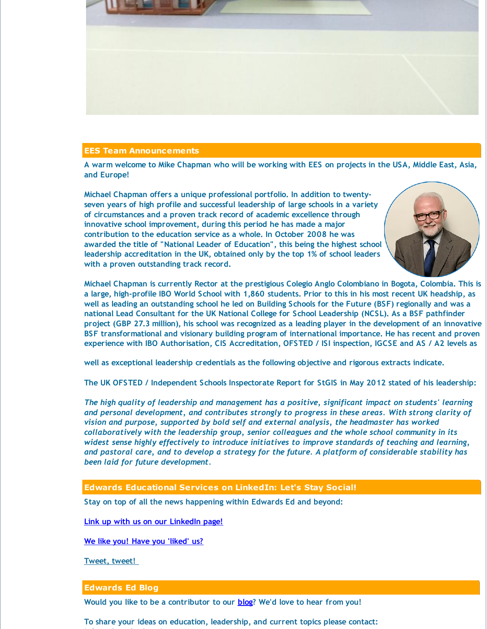

### **EES Team Announcements**

A warm welcome to Mike Chapman who will be working with EES on projects in the USA, Middle East, Asia, **and Europe!**

**Michael Chapman offers a unique professional portfolio. In addition to twentyseven years of high profile and successful leadership of large schools in a variety of circumstances and a proven track record of academic excellence through innovative school improvement, during this period he has made a major contribution to the education service as a whole. In October 2008 he was awarded the title of "National Leader of Education", this being the highest school leadership accreditation in the UK, obtained only by the top 1% of school leaders with a proven outstanding track record.**



**Michael Chapman is currently Rector at the prestigious Colegio Anglo Colombiano in Bogota, Colombia. This is** a large, high-profile IBO World School with 1,860 students. Prior to this in his most recent UK headship, as well as leading an outstanding school he led on Building Schools for the Future (BSF) regionally and was a **national Lead Consultant for the UK National College for School Leadership (NCSL). As a BSF pathfinder** project (GBP 27.3 million), his school was recognized as a leading player in the development of an innovative **BSF transformational and visionary building program of international importance. He has recent and proven** experience with IBO Authorisation, CIS Accreditation, OFSTED / ISI inspection, IGCSE and AS / A2 levels as

**well as exceptional leadership credentials as the following objective and rigorous extracts indicate.**

**The UK OFSTED / Independent Schools Inspectorate Report for StGIS in May 2012 stated of his leadership:**

*The high quality of leadership and management has a positive, significant impact on students' learning and personal development, and contributes strongly to progress in these areas. With strong clarity of vision and purpose, supported by bold self and external analysis, the headmaster has worked collaboratively with the leadership group, senior colleagues and the whole school community in its widest sense highly effectively to introduce initiatives to improve standards of teaching and learning, and pastoral care, and to develop a strategy for the future. A platform of considerable stability has been laid for future development.*

### **Edwards Educational Services on LinkedIn: Let's Stay Social!**

**Stay on top of all the news happening within Edwards Ed and beyond:**

**Link up with us on our [LinkedIn](http://r20.rs6.net/tn.jsp?f=001DYxC3OYyn3xTj1hZUY4haHpR_83u4pSoNL06kZU8KTFAXZ7W3ZNNxLL2zQsN_PJioEQDS7S-GfUTyYS8ASpIVPdSdrfxIT0jq27fnxXneQtBcDRwkNCTFga7j3u6L-XvxMCInKe8OdYlrEcf_xOyr7UanRSXLC7sp3-ikkezOA-xFEKYvOOcqyw1K-OO5pWKoCTdhvuwb95VoPcJO_iTk3WFgM41-mSNHUiftptmwPE=&c=&ch=) page!**

**We like you! Have you ['liked'](http://r20.rs6.net/tn.jsp?f=001DYxC3OYyn3xTj1hZUY4haHpR_83u4pSoNL06kZU8KTFAXZ7W3ZNNxOsylPRmhkYWvvWxlZAHd-4zscmR9gOQVMC6hkAMp7Pp6o1GVV99YGf6pb1aMFcCKMuEJ-XPaNEMa322p2CDK4ckis-a60KPOAcE93x8aV5FAeESq-RMBUbKS_12aypl7HeycS54amKijHjgwFYYaEE=&c=&ch=) us?**

**[Tweet,](http://r20.rs6.net/tn.jsp?f=001DYxC3OYyn3xTj1hZUY4haHpR_83u4pSoNL06kZU8KTFAXZ7W3ZNNxLL2zQsN_PJixCGGM2yRwv0nDb2qRZUtdi0zE_4jjAypzsPerRJYMUyfzRIiNKgwQL_SSU4opn0VzqGQpq3YZlKXrEDTah2f_mkRTO-AANFWlhSy49yjh_X_GrNyEXMil4m-qISOnJzy&c=&ch=) tweet!**

### **Edwards Ed Blog**

**info@edwardsedservices.com**

**Would you like to be a contributor to our [blog](http://r20.rs6.net/tn.jsp?f=001DYxC3OYyn3xTj1hZUY4haHpR_83u4pSoNL06kZU8KTFAXZ7W3ZNNxJcUEUVloAhgp7zjRNwA-cAEcs8S1I379QgpRJkJM4il_kLqr5J2GffRle947GX2VCnSDqj4DauZsH8c2Nd_ii2ZxqXotpLOTQgxHfPhgCzTSFNY_Qr0N2KXSNZEWRQzNPEU9x-jRCIE&c=&ch=)? We'd love to hear from you!**

**To share your ideas on education, leadership, and current topics please contact:**